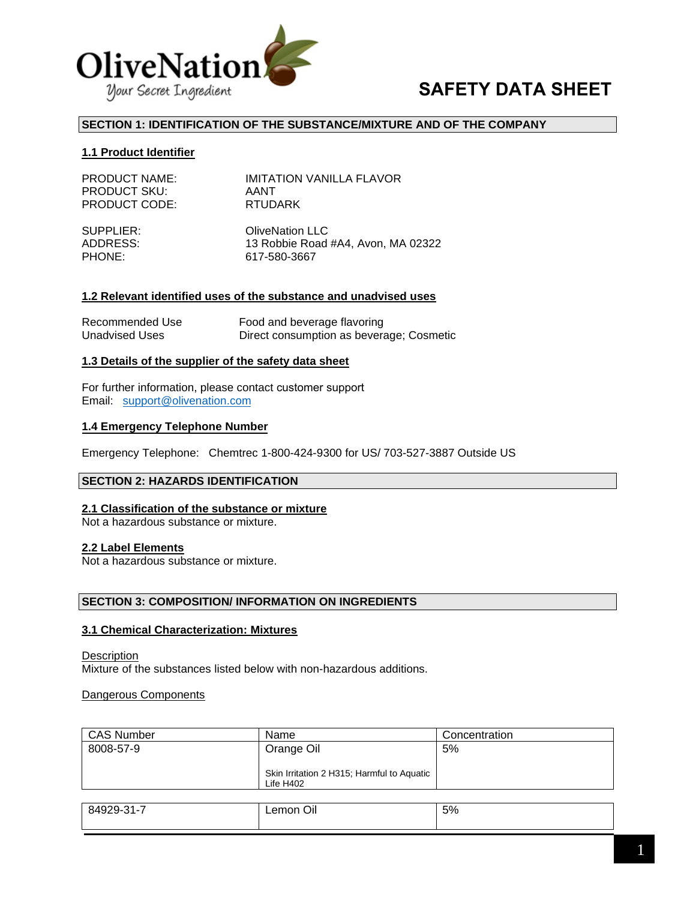

# **SAFETY DATA SHEET**

## **SECTION 1: IDENTIFICATION OF THE SUBSTANCE/MIXTURE AND OF THE COMPANY**

#### **1.1 Product Identifier**

| <b>PRODUCT NAME:</b> | <b>IMITATION VANILLA FLAVOR</b>    |
|----------------------|------------------------------------|
| <b>PRODUCT SKU:</b>  | AANT                               |
| <b>PRODUCT CODE:</b> | <b>RTUDARK</b>                     |
| SUPPLIER:            | <b>OliveNation LLC</b>             |
| ADDRESS:             | 13 Robbie Road #A4, Avon, MA 02322 |
| PHONE:               | 617-580-3667                       |

#### **1.2 Relevant identified uses of the substance and unadvised uses**

| Recommended Use       | Food and beverage flavoring              |
|-----------------------|------------------------------------------|
| <b>Unadvised Uses</b> | Direct consumption as beverage; Cosmetic |

#### **1.3 Details of the supplier of the safety data sheet**

For furt[her information, please con](mailto:support@olivenation.com)tact customer support Email: support@olivenation.com

#### **1.4 Emergency Telephone Number**

Emergency Telephone: Chemtrec 1-800-424-9300 for US/ 703-527-3887 Outside US

#### **SECTION 2: HAZARDS IDENTIFICATION**

#### **2.1 Classification of the substance or mixture**

Not a hazardous substance or mixture.

#### **2.2 Label Elements**

Not a hazardous substance or mixture.

#### **SECTION 3: COMPOSITION/ INFORMATION ON INGREDIENTS**

#### **3.1 Chemical Characterization: Mixtures**

**Description** Mixture of the substances listed below with non-hazardous additions.

Dangerous Components

| <b>CAS Number</b> | Name                                       | Concentration |
|-------------------|--------------------------------------------|---------------|
| 8008-57-9         | Orange Oil                                 | 5%            |
|                   |                                            |               |
|                   | Skin Irritation 2 H315; Harmful to Aquatic |               |
|                   | Life $H402$                                |               |
|                   |                                            |               |

| 24.7<br>84929-ა | $\sim$<br>Οıl<br>∟emon<br>$\sim$ | 5% |
|-----------------|----------------------------------|----|
|                 |                                  |    |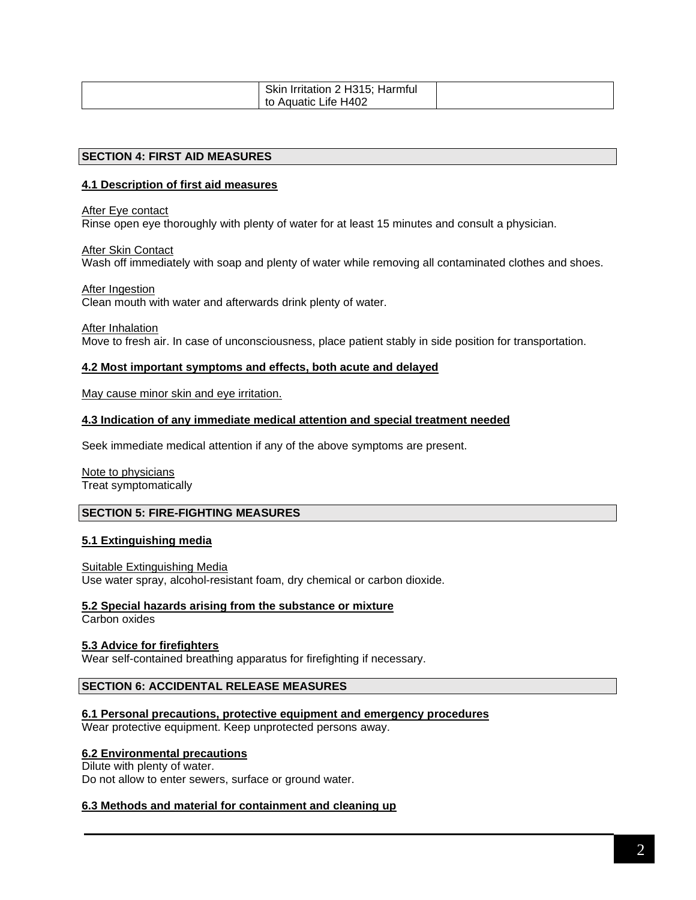| Skin<br>Irritation 2 H315; Harmful |  |
|------------------------------------|--|
| to Aquatic Life H402               |  |

#### **SECTION 4: FIRST AID MEASURES**

## **4.1 Description of first aid measures**

After Eye contact

Rinse open eye thoroughly with plenty of water for at least 15 minutes and consult a physician.

**After Skin Contact** 

Wash off immediately with soap and plenty of water while removing all contaminated clothes and shoes.

After Ingestion

Clean mouth with water and afterwards drink plenty of water.

After Inhalation

Move to fresh air. In case of unconsciousness, place patient stably in side position for transportation.

#### **4.2 Most important symptoms and effects, both acute and delayed**

May cause minor skin and eye irritation.

#### **4.3 Indication of any immediate medical attention and special treatment needed**

Seek immediate medical attention if any of the above symptoms are present.

Note to physicians Treat symptomatically

## **SECTION 5: FIRE-FIGHTING MEASURES**

#### **5.1 Extinguishing media**

Suitable Extinguishing Media Use water spray, alcohol-resistant foam, dry chemical or carbon dioxide.

#### **5.2 Special hazards arising from the substance or mixture**

Carbon oxides

#### **5.3 Advice for firefighters**

Wear self-contained breathing apparatus for firefighting if necessary.

## **SECTION 6: ACCIDENTAL RELEASE MEASURES**

## **6.1 Personal precautions, protective equipment and emergency procedures**

Wear protective equipment. Keep unprotected persons away.

## **6.2 Environmental precautions**

Dilute with plenty of water. Do not allow to enter sewers, surface or ground water.

#### **6.3 Methods and material for containment and cleaning up**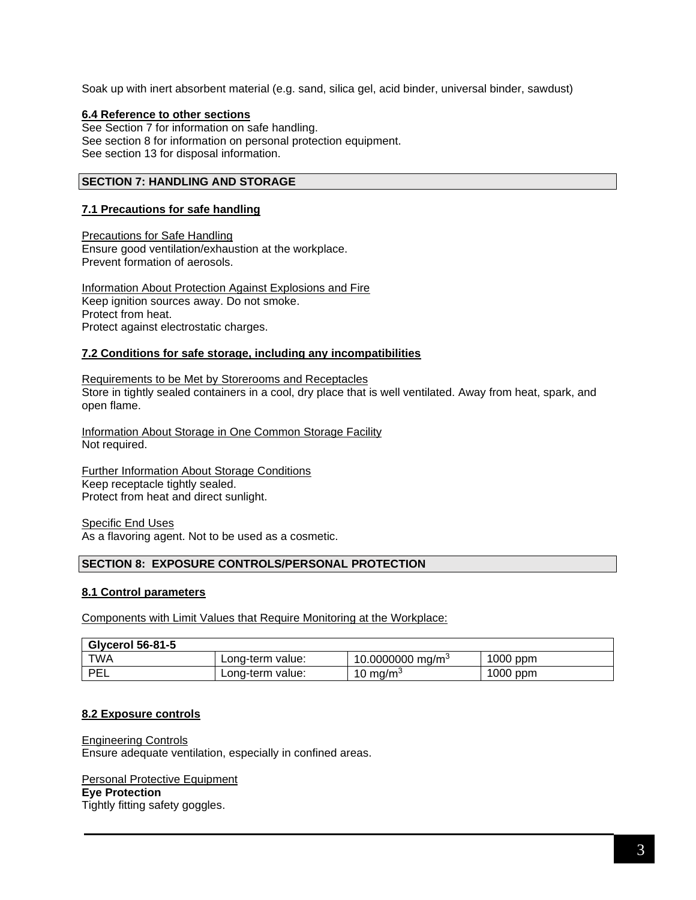Soak up with inert absorbent material (e.g. sand, silica gel, acid binder, universal binder, sawdust)

## **6.4 Reference to other sections**

See Section 7 for information on safe handling. See section 8 for information on personal protection equipment. See section 13 for disposal information.

# **SECTION 7: HANDLING AND STORAGE**

## **7.1 Precautions for safe handling**

Precautions for Safe Handling Ensure good ventilation/exhaustion at the workplace. Prevent formation of aerosols.

Information About Protection Against Explosions and Fire Keep ignition sources away. Do not smoke. Protect from heat. Protect against electrostatic charges.

## **7.2 Conditions for safe storage, including any incompatibilities**

Requirements to be Met by Storerooms and Receptacles Store in tightly sealed containers in a cool, dry place that is well ventilated. Away from heat, spark, and open flame.

Information About Storage in One Common Storage Facility Not required.

Further Information About Storage Conditions Keep receptacle tightly sealed. Protect from heat and direct sunlight.

Specific End Uses As a flavoring agent. Not to be used as a cosmetic.

#### **SECTION 8: EXPOSURE CONTROLS/PERSONAL PROTECTION**

#### **8.1 Control parameters**

Components with Limit Values that Require Monitoring at the Workplace:

| <b>Glycerol 56-81-5</b> |                  |                              |            |
|-------------------------|------------------|------------------------------|------------|
| <b>TWA</b>              | Long-term value: | 10.0000000 mg/m <sup>3</sup> | $1000$ ppm |
| PEL                     | Long-term value: | 10 mg/m $\degree$            | $1000$ ppm |

#### **8.2 Exposure controls**

Engineering Controls Ensure adequate ventilation, especially in confined areas.

#### Personal Protective Equipment

#### **Eye Protection**

Tightly fitting safety goggles.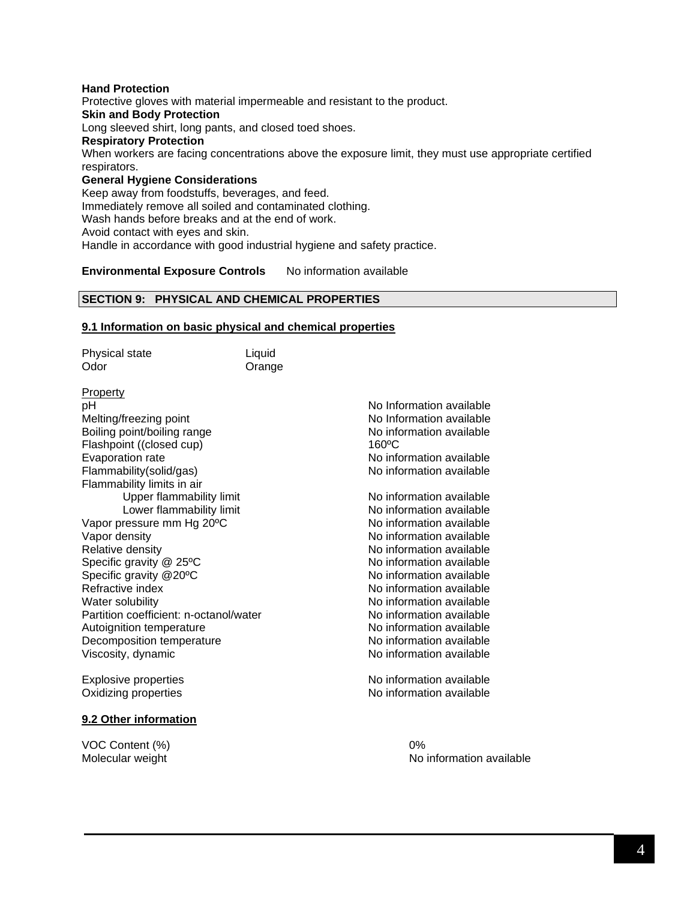#### **Hand Protection** Protective gloves with material impermeable and resistant to the product. **Skin and Body Protection** Long sleeved shirt, long pants, and closed toed shoes. **Respiratory Protection** When workers are facing concentrations above the exposure limit, they must use appropriate certified respirators. **General Hygiene Considerations** Keep away from foodstuffs, beverages, and feed. Immediately remove all soiled and contaminated clothing. Wash hands before breaks and at the end of work. Avoid contact with eyes and skin.

Handle in accordance with good industrial hygiene and safety practice.

## **Environmental Exposure Controls** No information available

## **SECTION 9: PHYSICAL AND CHEMICAL PROPERTIES**

#### **9.1 Information on basic physical and chemical properties**

| Odor<br>Orange<br><b>Property</b><br>рH<br>Melting/freezing point<br>Boiling point/boiling range<br>$160\degree C$<br>Flashpoint ((closed cup)<br>Evaporation rate<br>Flammability(solid/gas)<br>Flammability limits in air<br>Upper flammability limit<br>Lower flammability limit<br>Vapor pressure mm Hg 20°C<br>Vapor density<br>Relative density<br>Specific gravity @ 25°C<br>Specific gravity @20°C<br>Refractive index<br>Water solubility<br>Partition coefficient: n-octanol/water<br>Autoignition temperature<br>Decomposition temperature<br>Viscosity, dynamic<br>Explosive properties<br>Oxidizing properties<br>9.2 Other information | Physical state | Liquid |                          |
|------------------------------------------------------------------------------------------------------------------------------------------------------------------------------------------------------------------------------------------------------------------------------------------------------------------------------------------------------------------------------------------------------------------------------------------------------------------------------------------------------------------------------------------------------------------------------------------------------------------------------------------------------|----------------|--------|--------------------------|
|                                                                                                                                                                                                                                                                                                                                                                                                                                                                                                                                                                                                                                                      |                |        |                          |
|                                                                                                                                                                                                                                                                                                                                                                                                                                                                                                                                                                                                                                                      |                |        |                          |
|                                                                                                                                                                                                                                                                                                                                                                                                                                                                                                                                                                                                                                                      |                |        |                          |
|                                                                                                                                                                                                                                                                                                                                                                                                                                                                                                                                                                                                                                                      |                |        | No Information available |
|                                                                                                                                                                                                                                                                                                                                                                                                                                                                                                                                                                                                                                                      |                |        | No Information available |
|                                                                                                                                                                                                                                                                                                                                                                                                                                                                                                                                                                                                                                                      |                |        | No information available |
|                                                                                                                                                                                                                                                                                                                                                                                                                                                                                                                                                                                                                                                      |                |        |                          |
|                                                                                                                                                                                                                                                                                                                                                                                                                                                                                                                                                                                                                                                      |                |        | No information available |
|                                                                                                                                                                                                                                                                                                                                                                                                                                                                                                                                                                                                                                                      |                |        | No information available |
|                                                                                                                                                                                                                                                                                                                                                                                                                                                                                                                                                                                                                                                      |                |        |                          |
|                                                                                                                                                                                                                                                                                                                                                                                                                                                                                                                                                                                                                                                      |                |        | No information available |
|                                                                                                                                                                                                                                                                                                                                                                                                                                                                                                                                                                                                                                                      |                |        | No information available |
|                                                                                                                                                                                                                                                                                                                                                                                                                                                                                                                                                                                                                                                      |                |        | No information available |
|                                                                                                                                                                                                                                                                                                                                                                                                                                                                                                                                                                                                                                                      |                |        | No information available |
|                                                                                                                                                                                                                                                                                                                                                                                                                                                                                                                                                                                                                                                      |                |        | No information available |
|                                                                                                                                                                                                                                                                                                                                                                                                                                                                                                                                                                                                                                                      |                |        | No information available |
|                                                                                                                                                                                                                                                                                                                                                                                                                                                                                                                                                                                                                                                      |                |        | No information available |
|                                                                                                                                                                                                                                                                                                                                                                                                                                                                                                                                                                                                                                                      |                |        | No information available |
|                                                                                                                                                                                                                                                                                                                                                                                                                                                                                                                                                                                                                                                      |                |        | No information available |
|                                                                                                                                                                                                                                                                                                                                                                                                                                                                                                                                                                                                                                                      |                |        | No information available |
|                                                                                                                                                                                                                                                                                                                                                                                                                                                                                                                                                                                                                                                      |                |        | No information available |
|                                                                                                                                                                                                                                                                                                                                                                                                                                                                                                                                                                                                                                                      |                |        | No information available |
|                                                                                                                                                                                                                                                                                                                                                                                                                                                                                                                                                                                                                                                      |                |        | No information available |
|                                                                                                                                                                                                                                                                                                                                                                                                                                                                                                                                                                                                                                                      |                |        | No information available |
|                                                                                                                                                                                                                                                                                                                                                                                                                                                                                                                                                                                                                                                      |                |        | No information available |
|                                                                                                                                                                                                                                                                                                                                                                                                                                                                                                                                                                                                                                                      |                |        |                          |

VOC Content (%) 0%

Molecular weight No information available No information available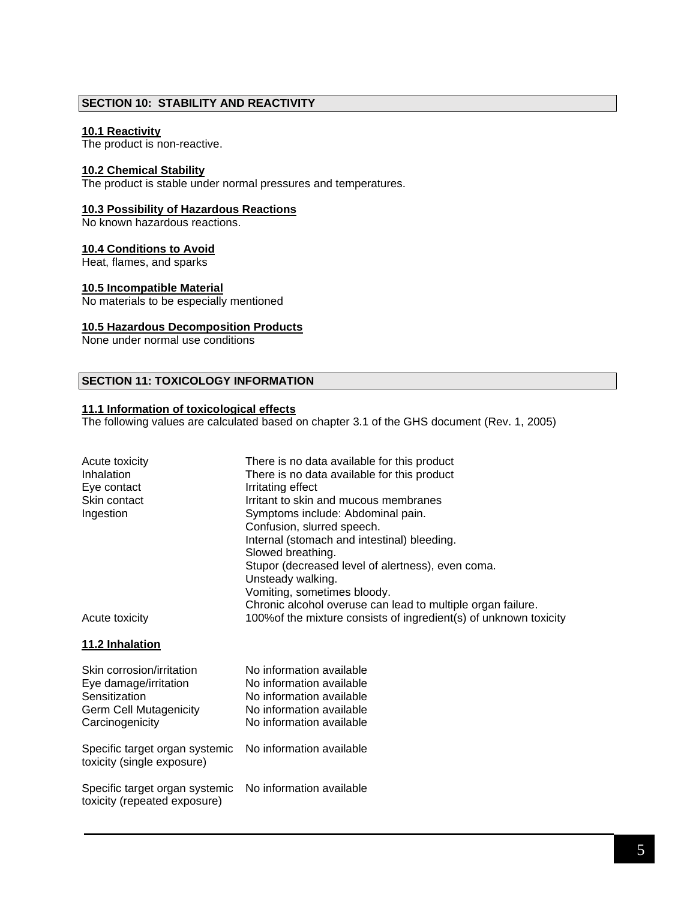# **SECTION 10: STABILITY AND REACTIVITY**

## **10.1 Reactivity**

The product is non-reactive.

#### **10.2 Chemical Stability**

The product is stable under normal pressures and temperatures.

## **10.3 Possibility of Hazardous Reactions**

No known hazardous reactions.

## **10.4 Conditions to Avoid**

Heat, flames, and sparks

#### **10.5 Incompatible Material**

No materials to be especially mentioned

#### **10.5 Hazardous Decomposition Products**

None under normal use conditions

#### **SECTION 11: TOXICOLOGY INFORMATION**

## **11.1 Information of toxicological effects**

The following values are calculated based on chapter 3.1 of the GHS document (Rev. 1, 2005)

| Acute toxicity<br>Inhalation<br>Eye contact<br>Skin contact<br>Ingestion                                                | There is no data available for this product<br>There is no data available for this product<br>Irritating effect<br>Irritant to skin and mucous membranes<br>Symptoms include: Abdominal pain.<br>Confusion, slurred speech.<br>Internal (stomach and intestinal) bleeding. |
|-------------------------------------------------------------------------------------------------------------------------|----------------------------------------------------------------------------------------------------------------------------------------------------------------------------------------------------------------------------------------------------------------------------|
| Acute toxicity                                                                                                          | Slowed breathing.<br>Stupor (decreased level of alertness), even coma.<br>Unsteady walking.<br>Vomiting, sometimes bloody.<br>Chronic alcohol overuse can lead to multiple organ failure.<br>100% of the mixture consists of ingredient(s) of unknown toxicity             |
| 11.2 Inhalation                                                                                                         |                                                                                                                                                                                                                                                                            |
| Skin corrosion/irritation<br>Eye damage/irritation<br>Sensitization<br><b>Germ Cell Mutagenicity</b><br>Carcinogenicity | No information available<br>No information available<br>No information available<br>No information available<br>No information available                                                                                                                                   |
| Specific target organ systemic<br>toxicity (single exposure)                                                            | No information available                                                                                                                                                                                                                                                   |
| Specific target organ systemic<br>toxicity (repeated exposure)                                                          | No information available                                                                                                                                                                                                                                                   |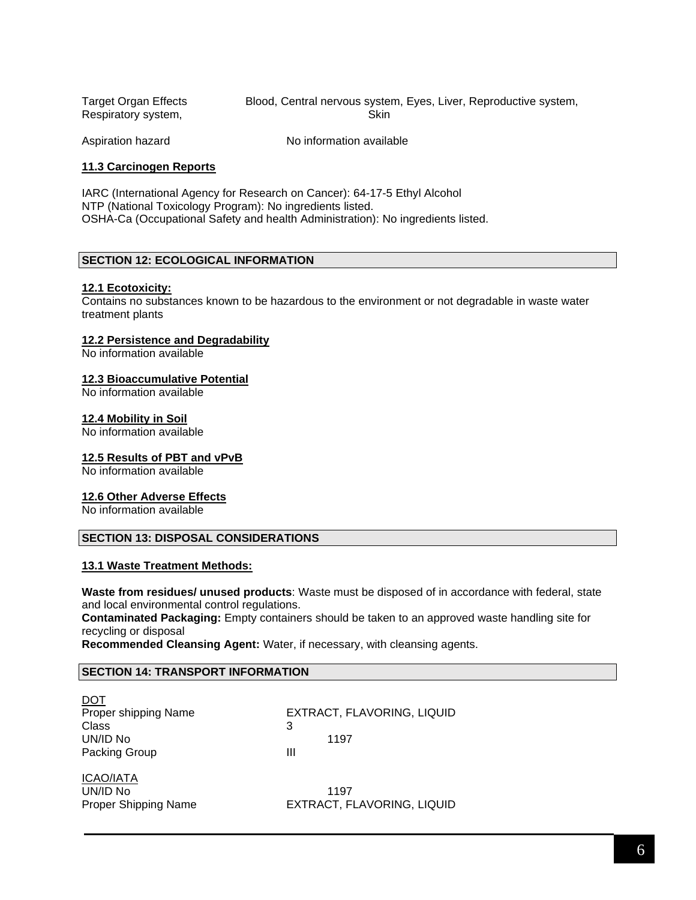Target Organ Effects Blood, Central nervous system, Eyes, Liver, Reproductive system, Respiratory system, Skin

Aspiration hazard No information available

## **11.3 Carcinogen Reports**

IARC (International Agency for Research on Cancer): 64-17-5 Ethyl Alcohol NTP (National Toxicology Program): No ingredients listed. OSHA-Ca (Occupational Safety and health Administration): No ingredients listed.

## **SECTION 12: ECOLOGICAL INFORMATION**

#### **12.1 Ecotoxicity:**

Contains no substances known to be hazardous to the environment or not degradable in waste water treatment plants

#### **12.2 Persistence and Degradability**

No information available

#### **12.3 Bioaccumulative Potential**

No information available

#### **12.4 Mobility in Soil**

No information available

#### **12.5 Results of PBT and vPvB**

No information available

#### **12.6 Other Adverse Effects**

No information available

## **SECTION 13: DISPOSAL CONSIDERATIONS**

#### **13.1 Waste Treatment Methods:**

**Waste from residues/ unused products**: Waste must be disposed of in accordance with federal, state and local environmental control regulations.

**Contaminated Packaging:** Empty containers should be taken to an approved waste handling site for recycling or disposal

**Recommended Cleansing Agent:** Water, if necessary, with cleansing agents.

# **SECTION 14: TRANSPORT INFORMATION**

| DOT                  |            |
|----------------------|------------|
| Proper shipping Name | EXTRACT, F |
| Class                | 3          |
| UN/ID No             | 1197       |
| Packing Group        | ш          |

EXTRACT, FLAVORING, LIQUID

ICAO/IATA UN/ID No 1197

Proper Shipping Name EXTRACT, FLAVORING, LIQUID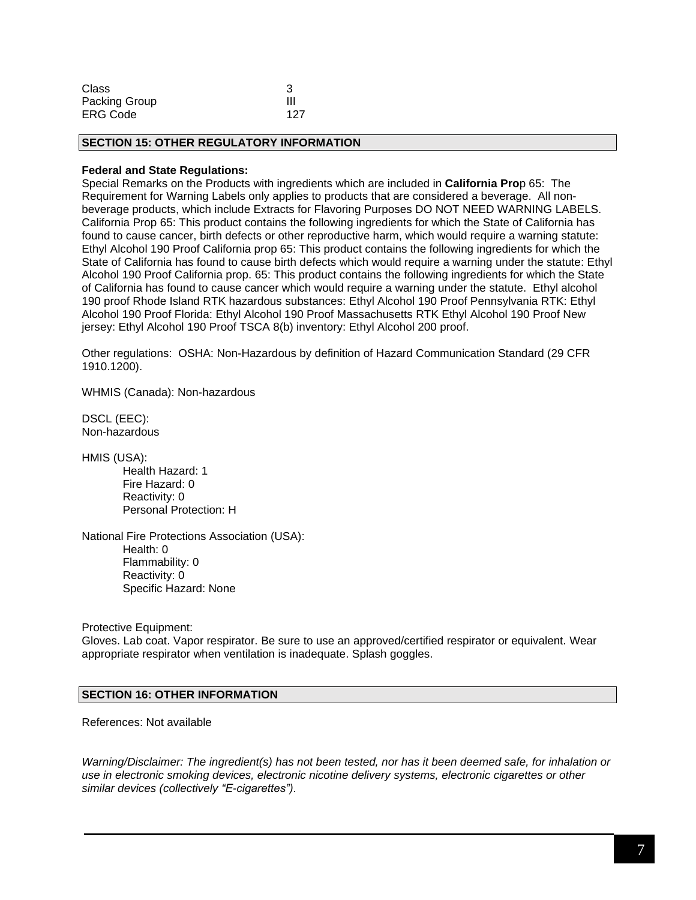| <b>Class</b>    |     |
|-----------------|-----|
| Packing Group   | Ш   |
| <b>ERG Code</b> | 127 |

#### **SECTION 15: OTHER REGULATORY INFORMATION**

#### **Federal and State Regulations:**

Special Remarks on the Products with ingredients which are included in **California Pro**p 65: The Requirement for Warning Labels only applies to products that are considered a beverage. All nonbeverage products, which include Extracts for Flavoring Purposes DO NOT NEED WARNING LABELS. California Prop 65: This product contains the following ingredients for which the State of California has found to cause cancer, birth defects or other reproductive harm, which would require a warning statute: Ethyl Alcohol 190 Proof California prop 65: This product contains the following ingredients for which the State of California has found to cause birth defects which would require a warning under the statute: Ethyl Alcohol 190 Proof California prop. 65: This product contains the following ingredients for which the State of California has found to cause cancer which would require a warning under the statute. Ethyl alcohol 190 proof Rhode Island RTK hazardous substances: Ethyl Alcohol 190 Proof Pennsylvania RTK: Ethyl Alcohol 190 Proof Florida: Ethyl Alcohol 190 Proof Massachusetts RTK Ethyl Alcohol 190 Proof New jersey: Ethyl Alcohol 190 Proof TSCA 8(b) inventory: Ethyl Alcohol 200 proof.

Other regulations: OSHA: Non-Hazardous by definition of Hazard Communication Standard (29 CFR 1910.1200).

WHMIS (Canada): Non-hazardous

DSCL (EEC): Non-hazardous

HMIS (USA):

Health Hazard: 1 Fire Hazard: 0 Reactivity: 0 Personal Protection: H

National Fire Protections Association (USA): Health: 0 Flammability: 0 Reactivity: 0 Specific Hazard: None

Protective Equipment:

Gloves. Lab coat. Vapor respirator. Be sure to use an approved/certified respirator or equivalent. Wear appropriate respirator when ventilation is inadequate. Splash goggles.

#### **SECTION 16: OTHER INFORMATION**

References: Not available

*Warning/Disclaimer: The ingredient(s) has not been tested, nor has it been deemed safe, for inhalation or use in electronic smoking devices, electronic nicotine delivery systems, electronic cigarettes or other similar devices (collectively "E-cigarettes").*